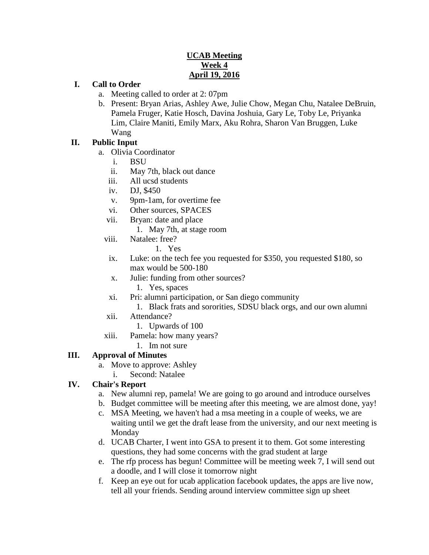### **UCAB Meeting Week 4 April 19, 2016**

#### **I. Call to Order**

- a. Meeting called to order at 2: 07pm
- b. Present: Bryan Arias, Ashley Awe, Julie Chow, Megan Chu, Natalee DeBruin, Pamela Fruger, Katie Hosch, Davina Joshuia, Gary Le, Toby Le, Priyanka Lim, Claire Maniti, Emily Marx, Aku Rohra, Sharon Van Bruggen, Luke Wang

### **II. Public Input**

- a. Olivia Coordinator
	- i. BSU
	- ii. May 7th, black out dance
	- iii. All ucsd students
	- iv. DJ, \$450
	- v. 9pm-1am, for overtime fee
	- vi. Other sources, SPACES
	- vii. Bryan: date and place
		- 1. May 7th, at stage room
	- viii. Natalee: free?
		- 1. Yes
		- ix. Luke: on the tech fee you requested for \$350, you requested \$180, so max would be 500-180
		- x. Julie: funding from other sources?
			- 1. Yes, spaces
		- xi. Pri: alumni participation, or San diego community
			- 1. Black frats and sororities, SDSU black orgs, and our own alumni
	- xii. Attendance?
		- 1. Upwards of 100
	- xiii. Pamela: how many years?
		- 1. Im not sure

### **III. Approval of Minutes**

- a. Move to approve: Ashley
	- i. Second: Natalee

### **IV. Chair's Report**

- a. New alumni rep, pamela! We are going to go around and introduce ourselves
- b. Budget committee will be meeting after this meeting, we are almost done, yay!
- c. MSA Meeting, we haven't had a msa meeting in a couple of weeks, we are waiting until we get the draft lease from the university, and our next meeting is Monday
- d. UCAB Charter, I went into GSA to present it to them. Got some interesting questions, they had some concerns with the grad student at large
- e. The rfp process has begun! Committee will be meeting week 7, I will send out a doodle, and I will close it tomorrow night
- f. Keep an eye out for ucab application facebook updates, the apps are live now, tell all your friends. Sending around interview committee sign up sheet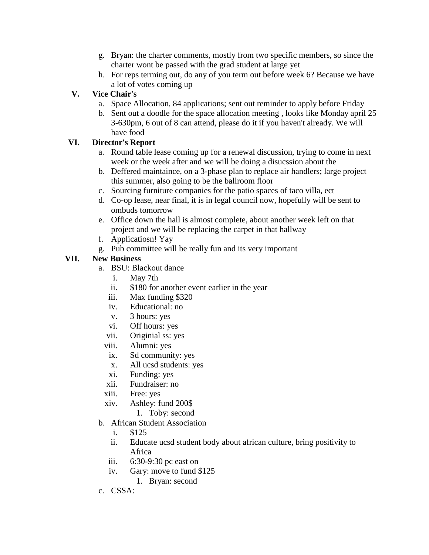- g. Bryan: the charter comments, mostly from two specific members, so since the charter wont be passed with the grad student at large yet
- h. For reps terming out, do any of you term out before week 6? Because we have a lot of votes coming up

# **V. Vice Chair's**

- a. Space Allocation, 84 applications; sent out reminder to apply before Friday
- b. Sent out a doodle for the space allocation meeting , looks like Monday april 25 3-630pm, 6 out of 8 can attend, please do it if you haven't already. We will have food

## **VI. Director's Report**

- a. Round table lease coming up for a renewal discussion, trying to come in next week or the week after and we will be doing a disucssion about the
- b. Deffered maintaince, on a 3-phase plan to replace air handlers; large project this summer, also going to be the ballroom floor
- c. Sourcing furniture companies for the patio spaces of taco villa, ect
- d. Co-op lease, near final, it is in legal council now, hopefully will be sent to ombuds tomorrow
- e. Office down the hall is almost complete, about another week left on that project and we will be replacing the carpet in that hallway
- f. Applicatiosn! Yay
- g. Pub committee will be really fun and its very important

### **VII. New Business**

- a. BSU: Blackout dance
	- i. May 7th
	- ii. \$180 for another event earlier in the year
	- iii. Max funding \$320
	- iv. Educational: no
	- v. 3 hours: yes
	- vi. Off hours: yes
	- vii. Originial ss: yes
	- viii. Alumni: yes
	- ix. Sd community: yes
	- x. All ucsd students: yes
	- xi. Funding: yes
	- xii. Fundraiser: no
	- xiii. Free: yes
	- xiv. Ashley: fund 200\$
		- 1. Toby: second
- b. African Student Association
	- i. \$125
	- ii. Educate ucsd student body about african culture, bring positivity to Africa
	- iii. 6:30-9:30 pc east on
	- iv. Gary: move to fund \$125
		- 1. Bryan: second
- c. CSSA: